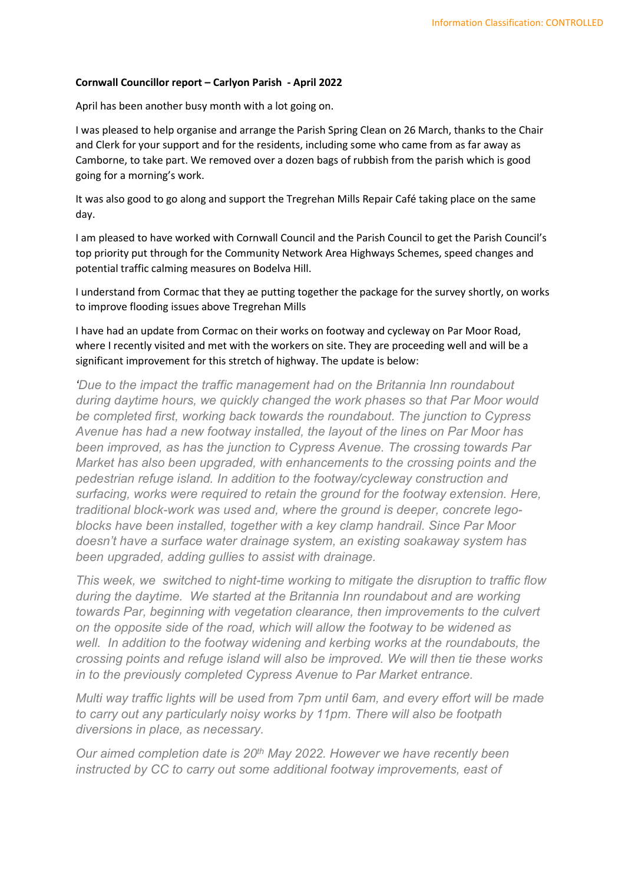## Cornwall Councillor report – Carlyon Parish - April 2022

April has been another busy month with a lot going on.

I was pleased to help organise and arrange the Parish Spring Clean on 26 March, thanks to the Chair and Clerk for your support and for the residents, including some who came from as far away as Camborne, to take part. We removed over a dozen bags of rubbish from the parish which is good going for a morning's work.

It was also good to go along and support the Tregrehan Mills Repair Café taking place on the same day.

I am pleased to have worked with Cornwall Council and the Parish Council to get the Parish Council's top priority put through for the Community Network Area Highways Schemes, speed changes and potential traffic calming measures on Bodelva Hill.

I understand from Cormac that they ae putting together the package for the survey shortly, on works to improve flooding issues above Tregrehan Mills

I have had an update from Cormac on their works on footway and cycleway on Par Moor Road, where I recently visited and met with the workers on site. They are proceeding well and will be a significant improvement for this stretch of highway. The update is below:

'Due to the impact the traffic management had on the Britannia Inn roundabout during daytime hours, we quickly changed the work phases so that Par Moor would be completed first, working back towards the roundabout. The junction to Cypress Avenue has had a new footway installed, the layout of the lines on Par Moor has been improved, as has the junction to Cypress Avenue. The crossing towards Par Market has also been upgraded, with enhancements to the crossing points and the pedestrian refuge island. In addition to the footway/cycleway construction and surfacing, works were required to retain the ground for the footway extension. Here, traditional block-work was used and, where the ground is deeper, concrete legoblocks have been installed, together with a key clamp handrail. Since Par Moor doesn't have a surface water drainage system, an existing soakaway system has been upgraded, adding gullies to assist with drainage.

This week, we switched to night-time working to mitigate the disruption to traffic flow during the daytime. We started at the Britannia Inn roundabout and are working towards Par, beginning with vegetation clearance, then improvements to the culvert on the opposite side of the road, which will allow the footway to be widened as well. In addition to the footway widening and kerbing works at the roundabouts, the crossing points and refuge island will also be improved. We will then tie these works in to the previously completed Cypress Avenue to Par Market entrance.

Multi way traffic lights will be used from 7pm until 6am, and every effort will be made to carry out any particularly noisy works by 11pm. There will also be footpath diversions in place, as necessary.

Our aimed completion date is 20<sup>th</sup> May 2022. However we have recently been instructed by CC to carry out some additional footway improvements, east of